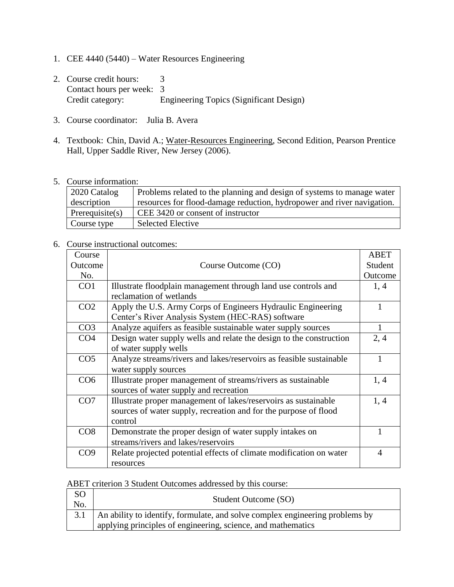- 1. CEE 4440 (5440) Water Resources Engineering
- 2. Course credit hours: 3 Contact hours per week: 3 Credit category: Engineering Topics (Significant Design)
- 3. Course coordinator: Julia B. Avera
- 4. Textbook: Chin, David A.; Water-Resources Engineering, Second Edition, Pearson Prentice Hall, Upper Saddle River, New Jersey (2006).
- 5. Course information:

| $\vert$ 2020 Catalog | Problems related to the planning and design of systems to manage water |
|----------------------|------------------------------------------------------------------------|
| description          | resources for flood-damage reduction, hydropower and river navigation. |
| Prerequisite $(s)$   | CEE 3420 or consent of instructor                                      |
| Course type          | <b>Selected Elective</b>                                               |

## 6. Course instructional outcomes:

| Course          |                                                                     | <b>ABET</b>    |
|-----------------|---------------------------------------------------------------------|----------------|
| Outcome         | Course Outcome (CO)                                                 | Student        |
| No.             |                                                                     | Outcome        |
| CO <sub>1</sub> | Illustrate floodplain management through land use controls and      | 1, 4           |
|                 | reclamation of wetlands                                             |                |
| CO <sub>2</sub> | Apply the U.S. Army Corps of Engineers Hydraulic Engineering        |                |
|                 | Center's River Analysis System (HEC-RAS) software                   |                |
| CO <sub>3</sub> | Analyze aquifers as feasible sustainable water supply sources       | 1              |
| CO <sub>4</sub> | Design water supply wells and relate the design to the construction | 2, 4           |
|                 | of water supply wells                                               |                |
| CO <sub>5</sub> | Analyze streams/rivers and lakes/reservoirs as feasible sustainable |                |
|                 | water supply sources                                                |                |
| CO6             | Illustrate proper management of streams/rivers as sustainable       | 1, 4           |
|                 | sources of water supply and recreation                              |                |
| CO7             | Illustrate proper management of lakes/reservoirs as sustainable     | 1,4            |
|                 | sources of water supply, recreation and for the purpose of flood    |                |
|                 | control                                                             |                |
| CO8             | Demonstrate the proper design of water supply intakes on            |                |
|                 | streams/rivers and lakes/reservoirs                                 |                |
| CO <sub>9</sub> | Relate projected potential effects of climate modification on water | $\overline{4}$ |
|                 | resources                                                           |                |

## ABET criterion 3 Student Outcomes addressed by this course:

| SO <sub>1</sub><br>No. | Student Outcome (SO)                                                                                                                             |
|------------------------|--------------------------------------------------------------------------------------------------------------------------------------------------|
|                        | 3.1 An ability to identify, formulate, and solve complex engineering problems by<br>applying principles of engineering, science, and mathematics |